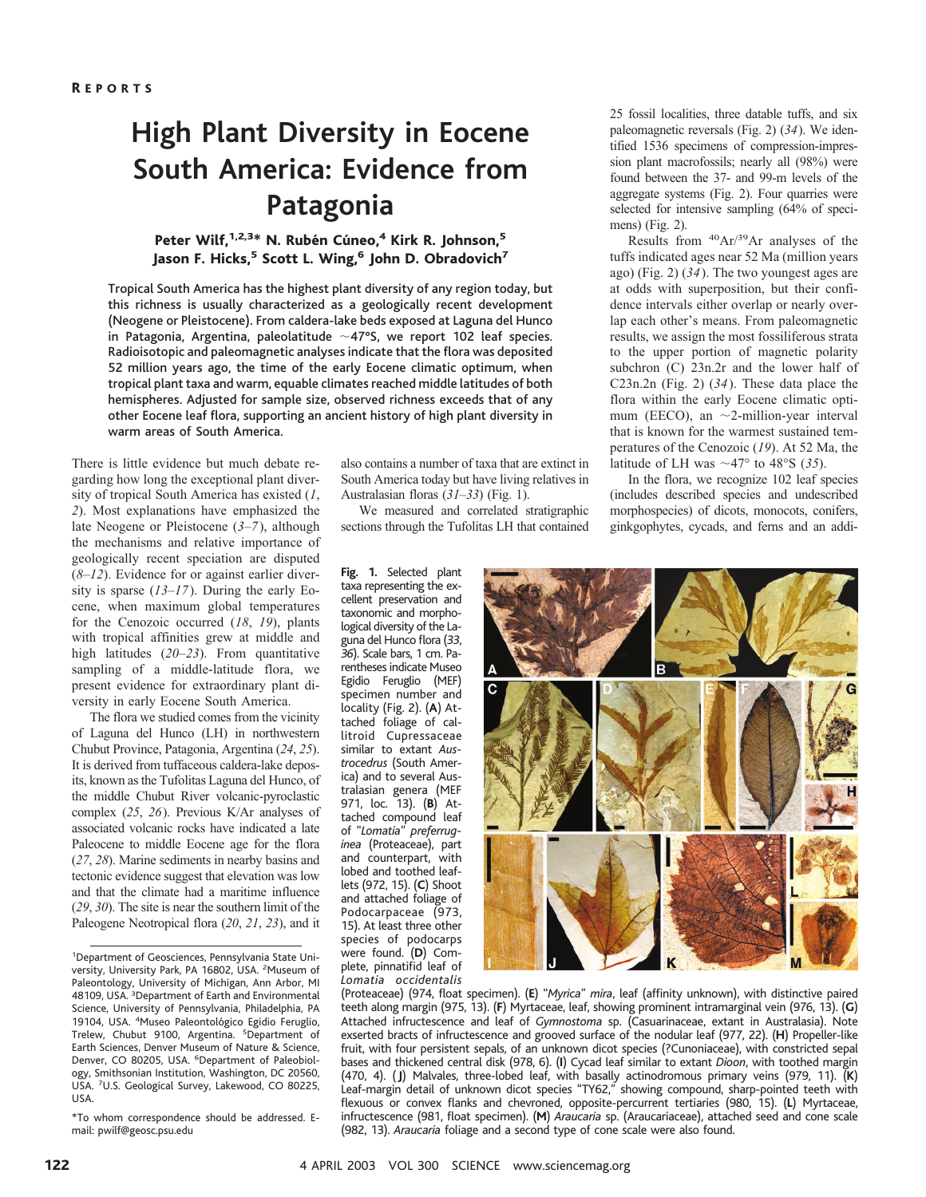## **High Plant Diversity in Eocene South America: Evidence from Patagonia**

#### Peter Wilf, <sup>1,2,3\*</sup> N. Rubén Cúneo,<sup>4</sup> Kirk R. Johnson,<sup>5</sup> Jason F. Hicks,<sup>5</sup> Scott L. Wing,<sup>6</sup> John D. Obradovich<sup>7</sup>

Tropical South America has the highest plant diversity of any region today, but this richness is usually characterized as a geologically recent development (Neogene or Pleistocene). From caldera-lake beds exposed at Laguna del Hunco in Patagonia, Argentina, paleolatitude  $\sim$ 47°S, we report 102 leaf species. Radioisotopic and paleomagnetic analyses indicate that the flora was deposited 52 million years ago, the time of the early Eocene climatic optimum, when tropical plant taxa and warm, equable climates reached middle latitudes of both hemispheres. Adjusted for sample size, observed richness exceeds that of any other Eocene leaf flora, supporting an ancient history of high plant diversity in warm areas of South America.

There is little evidence but much debate regarding how long the exceptional plant diversity of tropical South America has existed (*1*, *2*). Most explanations have emphasized the late Neogene or Pleistocene (*3*–*7*), although the mechanisms and relative importance of geologically recent speciation are disputed (*8*–*12*). Evidence for or against earlier diversity is sparse (*13*–*17*). During the early Eocene, when maximum global temperatures for the Cenozoic occurred (*18*, *19*), plants with tropical affinities grew at middle and high latitudes (*20*–*23*). From quantitative sampling of a middle-latitude flora, we present evidence for extraordinary plant diversity in early Eocene South America.

The flora we studied comes from the vicinity of Laguna del Hunco (LH) in northwestern Chubut Province, Patagonia, Argentina (*24*, *25*). It is derived from tuffaceous caldera-lake deposits, known as the Tufolitas Laguna del Hunco, of the middle Chubut River volcanic-pyroclastic complex (*25*, *26*). Previous K/Ar analyses of associated volcanic rocks have indicated a late Paleocene to middle Eocene age for the flora (*27*, *28*). Marine sediments in nearby basins and tectonic evidence suggest that elevation was low and that the climate had a maritime influence (*29*, *30*). The site is near the southern limit of the Paleogene Neotropical flora (*20*, *21*, *23*), and it also contains a number of taxa that are extinct in South America today but have living relatives in Australasian floras (*31*–*33*) (Fig. 1).

We measured and correlated stratigraphic sections through the Tufolitas LH that contained

**Fig. 1.** Selected plant taxa representing the excellent preservation and taxonomic and morphological diversity of the Laguna del Hunco flora (*33*, *36*). Scale bars, 1 cm. Parentheses indicate Museo Egidio Feruglio (MEF) specimen number and locality (Fig. 2). (**A**) Attached foliage of callitroid Cupressaceae similar to extant *Austrocedrus* (South America) and to several Australasian genera (MEF 971, loc. 13). (**B**) Attached compound leaf of "*Lomatia*" *preferruginea* (Proteaceae), part and counterpart, with lobed and toothed leaflets (972, 15). (**C**) Shoot and attached foliage of Podocarpaceae (973, 15). At least three other species of podocarps were found. (**D**) Complete, pinnatifid leaf of *Lomatia occidentalis* 25 fossil localities, three datable tuffs, and six paleomagnetic reversals (Fig. 2) (*34*). We identified 1536 specimens of compression-impression plant macrofossils; nearly all (98%) were found between the 37- and 99-m levels of the aggregate systems (Fig. 2). Four quarries were selected for intensive sampling (64% of specimens) (Fig. 2).

Results from 40Ar/39Ar analyses of the tuffs indicated ages near 52 Ma (million years ago) (Fig. 2) (*34*). The two youngest ages are at odds with superposition, but their confidence intervals either overlap or nearly overlap each other's means. From paleomagnetic results, we assign the most fossiliferous strata to the upper portion of magnetic polarity subchron (C) 23n.2r and the lower half of C23n.2n (Fig. 2) (*34*). These data place the flora within the early Eocene climatic optimum (EECO), an  $\sim$ 2-million-year interval that is known for the warmest sustained temperatures of the Cenozoic (*19*). At 52 Ma, the latitude of LH was  $\sim$ 47° to 48°S (35).

In the flora, we recognize 102 leaf species (includes described species and undescribed morphospecies) of dicots, monocots, conifers, ginkgophytes, cycads, and ferns and an addi-



(Proteaceae) (974, float specimen). (**E**) "*Myrica*" *mira*, leaf (affinity unknown), with distinctive paired teeth along margin (975, 13). (**F**) Myrtaceae, leaf, showing prominent intramarginal vein (976, 13). (**G**) Attached infructescence and leaf of *Gymnostoma* sp. (Casuarinaceae, extant in Australasia). Note exserted bracts of infructescence and grooved surface of the nodular leaf (977, 22). (**H**) Propeller-like fruit, with four persistent sepals, of an unknown dicot species (?Cunoniaceae), with constricted sepal bases and thickened central disk (978, 6). (**I**) Cycad leaf similar to extant *Dioon*, with toothed margin (470, 4). (**J**) Malvales, three-lobed leaf, with basally actinodromous primary veins (979, 11). (**K**) Leaf-margin detail of unknown dicot species "TY62," showing compound, sharp-pointed teeth with flexuous or convex flanks and chevroned, opposite-percurrent tertiaries (980, 15). (**L**) Myrtaceae, infructescence (981, float specimen). (**M**) *Araucaria* sp. (Araucariaceae), attached seed and cone scale (982, 13). *Araucaria* foliage and a second type of cone scale were also found.

<sup>1</sup> Department of Geosciences, Pennsylvania State University, University Park, PA 16802, USA. <sup>2</sup>Museum of Paleontology, University of Michigan, Ann Arbor, MI 48109, USA. <sup>3</sup>Department of Earth and Environmental Science, University of Pennsylvania, Philadelphia, PA 19104, USA. <sup>4</sup>Museo Paleontológico Egidio Feruglio, Trelew, Chubut 9100, Argentina. <sup>5</sup>Department of Earth Sciences, Denver Museum of Nature & Science, Denver, CO 80205, USA. <sup>6</sup>Department of Paleobiology, Smithsonian Institution, Washington, DC 20560, USA. <sup>7</sup>U.S. Geological Survey, Lakewood, CO 80225, USA.

<sup>\*</sup>To whom correspondence should be addressed. Email: pwilf@geosc.psu.edu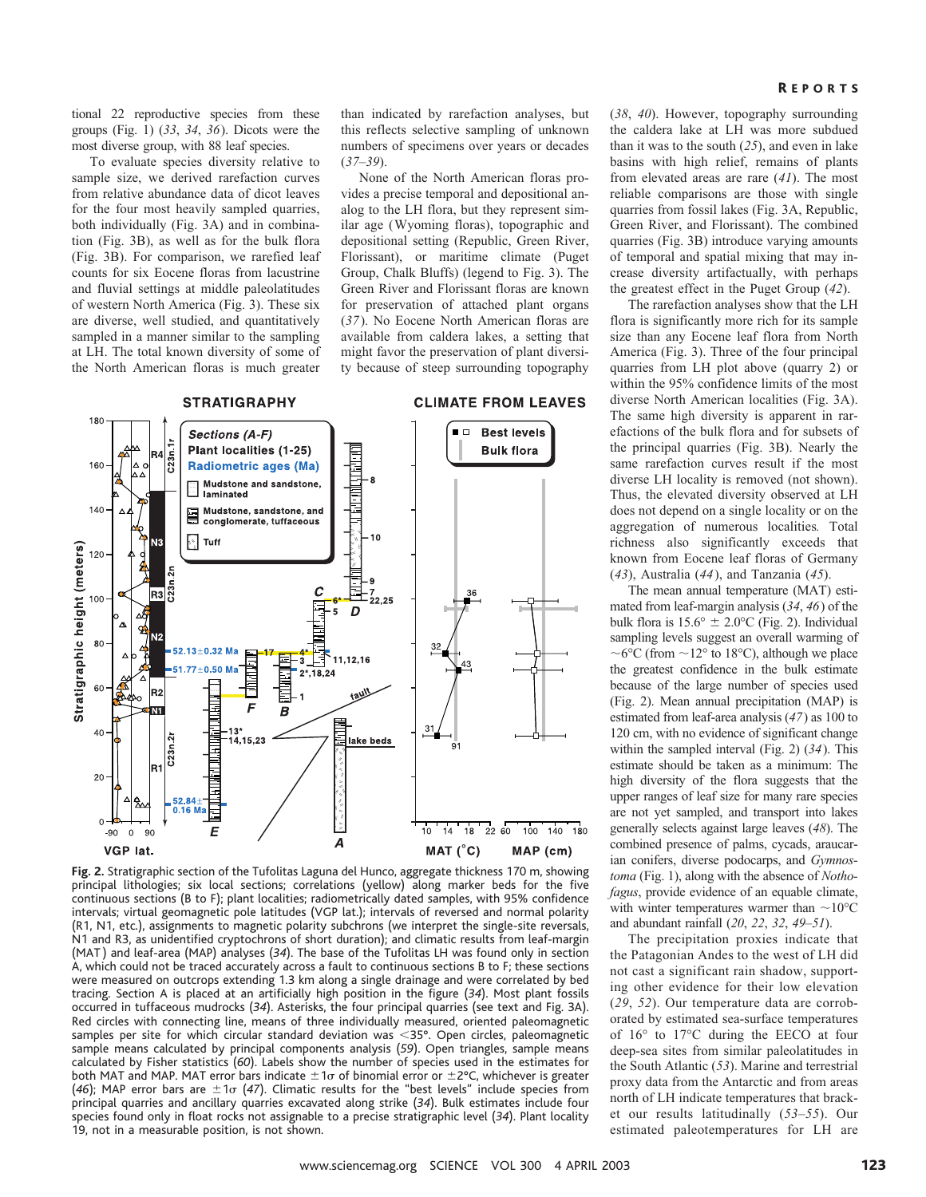tional 22 reproductive species from these groups (Fig. 1) (*33*, *34*, *36*). Dicots were the most diverse group, with 88 leaf species.

To evaluate species diversity relative to sample size, we derived rarefaction curves from relative abundance data of dicot leaves for the four most heavily sampled quarries, both individually (Fig. 3A) and in combination (Fig. 3B), as well as for the bulk flora (Fig. 3B). For comparison, we rarefied leaf counts for six Eocene floras from lacustrine and fluvial settings at middle paleolatitudes of western North America (Fig. 3). These six are diverse, well studied, and quantitatively sampled in a manner similar to the sampling at LH. The total known diversity of some of the North American floras is much greater than indicated by rarefaction analyses, but this reflects selective sampling of unknown numbers of specimens over years or decades (*37*–*39*).

None of the North American floras provides a precise temporal and depositional analog to the LH flora, but they represent similar age (Wyoming floras), topographic and depositional setting (Republic, Green River, Florissant), or maritime climate (Puget Group, Chalk Bluffs) (legend to Fig. 3). The Green River and Florissant floras are known for preservation of attached plant organs (*37*). No Eocene North American floras are available from caldera lakes, a setting that might favor the preservation of plant diversity because of steep surrounding topography



**Fig. 2.** Stratigraphic section of the Tufolitas Laguna del Hunco, aggregate thickness 170 m, showing principal lithologies; six local sections; correlations (yellow) along marker beds for the five continuous sections (B to F); plant localities; radiometrically dated samples, with 95% confidence intervals; virtual geomagnetic pole latitudes (VGP lat.); intervals of reversed and normal polarity (R1, N1, etc.), assignments to magnetic polarity subchrons (we interpret the single-site reversals, N1 and R3, as unidentified cryptochrons of short duration); and climatic results from leaf-margin (MAT ) and leaf-area (MAP) analyses (*34*). The base of the Tufolitas LH was found only in section A, which could not be traced accurately across a fault to continuous sections B to F; these sections were measured on outcrops extending 1.3 km along a single drainage and were correlated by bed tracing. Section A is placed at an artificially high position in the figure (*34*). Most plant fossils occurred in tuffaceous mudrocks (*34*). Asterisks, the four principal quarries (see text and Fig. 3A). Red circles with connecting line, means of three individually measured, oriented paleomagnetic samples per site for which circular standard deviation was <35°. Open circles, paleomagnetic sample means calculated by principal components analysis (*59*). Open triangles, sample means calculated by Fisher statistics (*60*). Labels show the number of species used in the estimates for both MAT and MAP. MAT error bars indicate  $\pm 1\sigma$  of binomial error or  $\pm 2^{\circ}{\sf C}$ , whichever is greater (46); MAP error bars are  $\pm 1\sigma$  (47). Climatic results for the "best levels" include species from principal quarries and ancillary quarries excavated along strike (*34*). Bulk estimates include four species found only in float rocks not assignable to a precise stratigraphic level (*34*). Plant locality 19, not in a measurable position, is not shown.

#### **REPORTS**

(*38*, *40*). However, topography surrounding the caldera lake at LH was more subdued than it was to the south (*25*), and even in lake basins with high relief, remains of plants from elevated areas are rare (*41*). The most reliable comparisons are those with single quarries from fossil lakes (Fig. 3A, Republic, Green River, and Florissant). The combined quarries (Fig. 3B) introduce varying amounts of temporal and spatial mixing that may increase diversity artifactually, with perhaps the greatest effect in the Puget Group (*42*).

The rarefaction analyses show that the LH flora is significantly more rich for its sample size than any Eocene leaf flora from North America (Fig. 3). Three of the four principal quarries from LH plot above (quarry 2) or within the 95% confidence limits of the most diverse North American localities (Fig. 3A). The same high diversity is apparent in rarefactions of the bulk flora and for subsets of the principal quarries (Fig. 3B). Nearly the same rarefaction curves result if the most diverse LH locality is removed (not shown). Thus, the elevated diversity observed at LH does not depend on a single locality or on the aggregation of numerous localities*.* Total richness also significantly exceeds that known from Eocene leaf floras of Germany (*43*), Australia (*44*), and Tanzania (*45*).

The mean annual temperature (MAT) estimated from leaf-margin analysis (*34*, *46*) of the bulk flora is  $15.6^{\circ} \pm 2.0^{\circ}$ C (Fig. 2). Individual sampling levels suggest an overall warming of ~6 $\degree$ C (from ~12 $\degree$  to 18 $\degree$ C), although we place the greatest confidence in the bulk estimate because of the large number of species used (Fig. 2). Mean annual precipitation (MAP) is estimated from leaf-area analysis (*47*) as 100 to 120 cm, with no evidence of significant change within the sampled interval (Fig. 2) (*34*). This estimate should be taken as a minimum: The high diversity of the flora suggests that the upper ranges of leaf size for many rare species are not yet sampled, and transport into lakes generally selects against large leaves (*48*). The combined presence of palms, cycads, araucarian conifers, diverse podocarps, and *Gymnostoma* (Fig. 1), along with the absence of *Nothofagus*, provide evidence of an equable climate, with winter temperatures warmer than  $\sim 10^{\circ}$ C and abundant rainfall (*20*, *22*, *32*, *49*–*51*).

The precipitation proxies indicate that the Patagonian Andes to the west of LH did not cast a significant rain shadow, supporting other evidence for their low elevation (*29*, *52*). Our temperature data are corroborated by estimated sea-surface temperatures of 16° to 17°C during the EECO at four deep-sea sites from similar paleolatitudes in the South Atlantic (*53*). Marine and terrestrial proxy data from the Antarctic and from areas north of LH indicate temperatures that bracket our results latitudinally (*53*–*55*). Our estimated paleotemperatures for LH are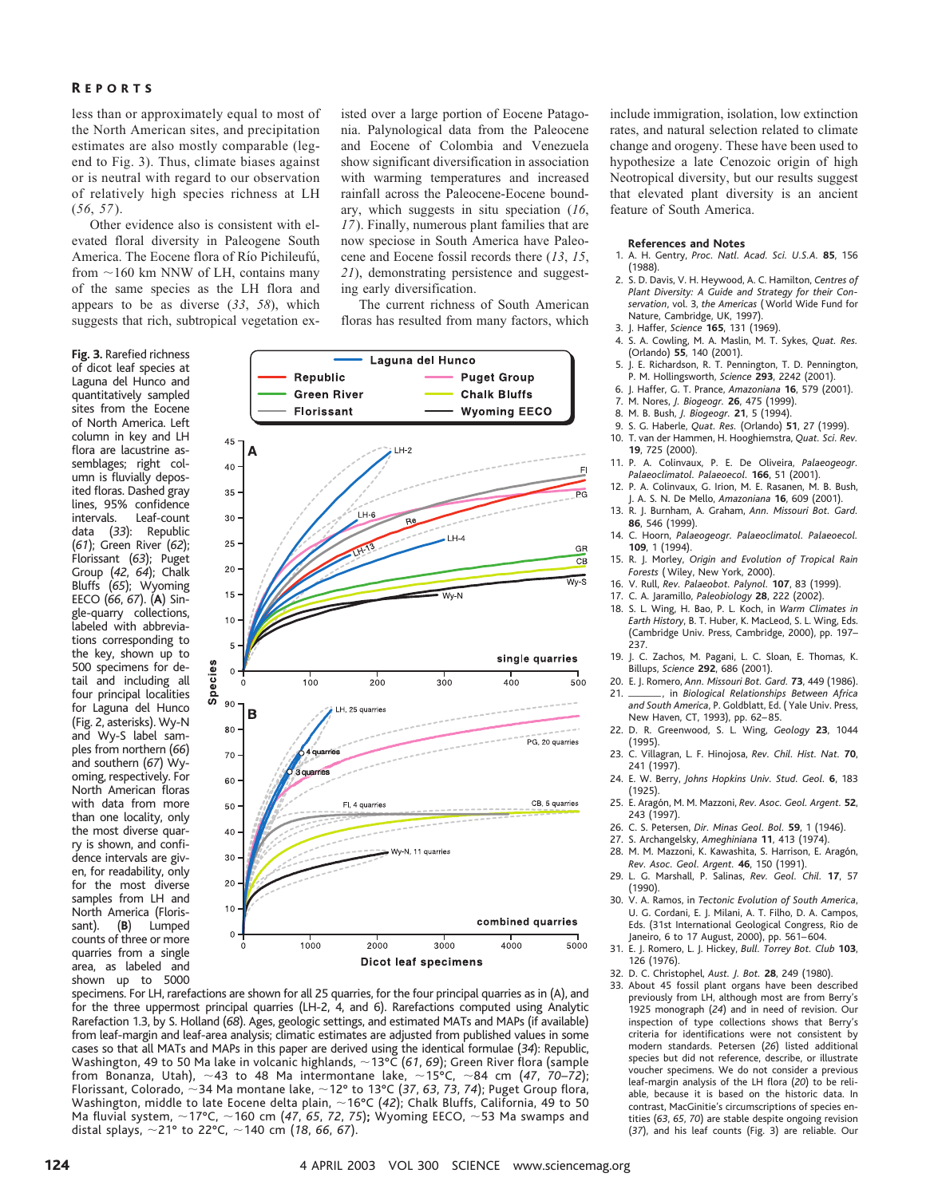#### R EPORTS

less than or approximately equal to most of the North American sites, and precipitation estimates are also mostly comparable (legend to Fig. 3). Thus, climate biases against or is neutral with regard to our observation of relatively high species richness at LH (*56*, *57*).

Other evidence also is consistent with elevated floral diversity in Paleogene South America. The Eocene flora of Río Pichileufú, from  $\sim$  160 km NNW of LH, contains many of the same species as the LH flora and appears to be as diverse (*33*, *58*), which suggests that rich, subtropical vegetation ex-

**Fig. 3.** Rarefied richness of dicot leaf species at Laguna del Hunco and quantitatively sampled sites from the Eocene of North America. Left column in key and LH flora are lacustrine assemblages; right column is fluvially deposited floras. Dashed gray lines, 95% confidence intervals. Leaf-count data (*33*): Republic (*61*); Green River (*62*); Florissant (*63*); Puget Group (*42*, *64*); Chalk Bluffs (*65*); Wyoming EECO (*66*, *67*). (**A**) Single-quarry collections, labeled with abbreviations corresponding to the key, shown up to 500 specimens for detail and including all four principal localities for Laguna del Hunco (Fig. 2, asterisks). Wy-N and Wy-S label samples from northern (*66*) and southern (*67*) Wyoming, respectively. For North American floras with data from more than one locality, only the most diverse quarry is shown, and confidence intervals are given, for readability, only for the most diverse samples from LH and North America (Florissant). (**B**) Lumped counts of three or more quarries from a single area, as labeled and shown up to 5000 isted over a large portion of Eocene Patagonia. Palynological data from the Paleocene and Eocene of Colombia and Venezuela show significant diversification in association with warming temperatures and increased rainfall across the Paleocene-Eocene boundary, which suggests in situ speciation (*16*, *17*). Finally, numerous plant families that are now speciose in South America have Paleocene and Eocene fossil records there (*13*, *15*, *21*), demonstrating persistence and suggesting early diversification.

The current richness of South American floras has resulted from many factors, which



specimens. For LH, rarefactions are shown for all 25 quarries, for the four principal quarries as in (A), and for the three uppermost principal quarries (LH-2, 4, and 6). Rarefactions computed using Analytic Rarefaction 1.3, by S. Holland (*68*). Ages, geologic settings, and estimated MATs and MAPs (if available) from leaf-margin and leaf-area analysis; climatic estimates are adjusted from published values in some cases so that all MATs and MAPs in this paper are derived using the identical formulae (*34*): Republic, Washington, 49 to 50 Ma lake in volcanic highlands, ~13°C (61, 69); Green River flora (sample from Bonanza, Utah),  $\sim$ 43 to 48 Ma intermontane lake,  $\sim$ 15°C,  $\sim$ 84 cm (47, 70–72); Florissant, Colorado, ~34 Ma montane lake, ~12° to 13°C (37, 63, 73, 74); Puget Group flora, Washington, middle to late Eocene delta plain, ~16°C (42); Chalk Bluffs, California, 49 to 50 Ma fluvial system, ~17°C, ~160 cm (47, 65, 72, 75); Wyoming EECO, ~53 Ma swamps and distal splays, 21° to 22°C, 140 cm (*18*, *66*, *67*).

include immigration, isolation, low extinction rates, and natural selection related to climate change and orogeny. These have been used to hypothesize a late Cenozoic origin of high Neotropical diversity, but our results suggest that elevated plant diversity is an ancient feature of South America.

#### **References and Notes**

- 1. A. H. Gentry, *Proc.Natl.Acad.Sci.U.S.A.* **85**, 156 (1988).
- 2. S. D. Davis, V. H. Heywood, A. C. Hamilton, *Centres of Plant Diversity: A Guide and Strategy for their Conservation*, vol. 3, *the Americas* ( World Wide Fund for Nature, Cambridge, UK, 1997).
- 3. J. Haffer, *Science* **165**, 131 (1969).
- 4. S. A. Cowling, M. A. Maslin, M. T. Sykes, Quat. Res. (Orlando) **55**, 140 (2001).
- 5. J. E. Richardson, R. T. Pennington, T. D. Pennington, P. M. Hollingsworth, *Science* **293**, 2242 (2001).
- 6. J. Haffer, G. T. Prance, *Amazoniana* **16**, 579 (2001).
- 7. M. Nores, *J.Biogeogr.* **26**, 475 (1999).
- 8. M. B. Bush, *J.Biogeogr.* **21**, 5 (1994).
- 9. S. G. Haberle, *Quat.Res.* (Orlando) **51**, 27 (1999).
- T. van der Hammen, H. Hooghiemstra, *Quat. Sci. Rev.* **19**, 725 (2000).
- 11. P. A. Colinvaux, P. E. De Oliveira, *Palaeogeogr. Palaeoclimatol.Palaeoecol.* **166**, 51 (2001).
- 12. P. A. Colinvaux, G. Irion, M. E. Rasanen, M. B. Bush, J. A. S. N. De Mello, *Amazoniana* **16**, 609 (2001).
- 13. R. J. Burnham, A. Graham, *Ann. Missouri Bot. Gard.* **86**, 546 (1999).
- 14. C. Hoorn, Palaeogeogr. Palaeoclimatol. Palaeoecol. **109**, 1 (1994).
- 15. R. J. Morley, *Origin and Evolution of Tropical Rain Forests* ( Wiley, New York, 2000).
- 16. V. Rull, *Rev.Palaeobot.Palynol.* **107**, 83 (1999).
- 17. C. A. Jaramillo, *Paleobiology* **28**, 222 (2002).
- 18. S. L. Wing, H. Bao, P. L. Koch, in *Warm Climates in Earth History*, B. T. Huber, K. MacLeod, S. L. Wing, Eds. (Cambridge Univ. Press, Cambridge, 2000), pp. 197– 237.
- 19. J. C. Zachos, M. Pagani, L. C. Sloan, E. Thomas, K. Billups, *Science* **292**, 686 (2001).
- 20. E. J. Romero, *Ann.Missouri Bot.Gard.* **73**, 449 (1986).
- 21. , in *Biological Relationships Between Africa and South America*, P. Goldblatt, Ed. ( Yale Univ. Press, New Haven, CT, 1993), pp. 62– 85.
- 22. D. R. Greenwood, S. L. Wing, *Geology* **23**, 1044 (1995).
- 23. C. Villagran, L. F. Hinojosa, *Rev.Chil.Hist.Nat.* **70**, 241 (1997).
- 24. E. W. Berry, Johns Hopkins Univ. Stud. Geol. 6, 183 (1925).
- 25. E. Arago´n, M. M. Mazzoni, *Rev.Asoc.Geol.Argent.* **52**, 243 (1997).
- 26. C. S. Petersen, *Dir.Minas Geol.Bol.* **59**, 1 (1946).
- 27. S. Archangelsky, *Ameghiniana* **11**, 413 (1974).
- 28. M. M. Mazzoni, K. Kawashita, S. Harrison, E. Aragón, *Rev.Asoc.Geol.Argent.* **46**, 150 (1991).
- 29. L. G. Marshall, P. Salinas, *Rev.Geol.Chil.* **17**, 57 (1990).
- 30. V. A. Ramos, in *Tectonic Evolution of South America*, U. G. Cordani, E. J. Milani, A. T. Filho, D. A. Campos, Eds. (31st International Geological Congress, Rio de Janeiro, 6 to 17 August, 2000), pp. 561– 604.
- 31. E. J. Romero, L. J. Hickey, *Bull.Torrey Bot.Club* **103**, 126 (1976).
- 32. D. C. Christophel, *Aust.J.Bot.* **28**, 249 (1980).
- 33. About 45 fossil plant organs have been described previously from LH, although most are from Berry's 1925 monograph (*24*) and in need of revision. Our inspection of type collections shows that Berry's criteria for identifications were not consistent by modern standards. Petersen (*26*) listed additional species but did not reference, describe, or illustrate voucher specimens. We do not consider a previous leaf-margin analysis of the LH flora (*20*) to be reliable, because it is based on the historic data. In contrast, MacGinitie's circumscriptions of species entities (*63*, *65*, *70*) are stable despite ongoing revision (*37*), and his leaf counts (Fig. 3) are reliable. Our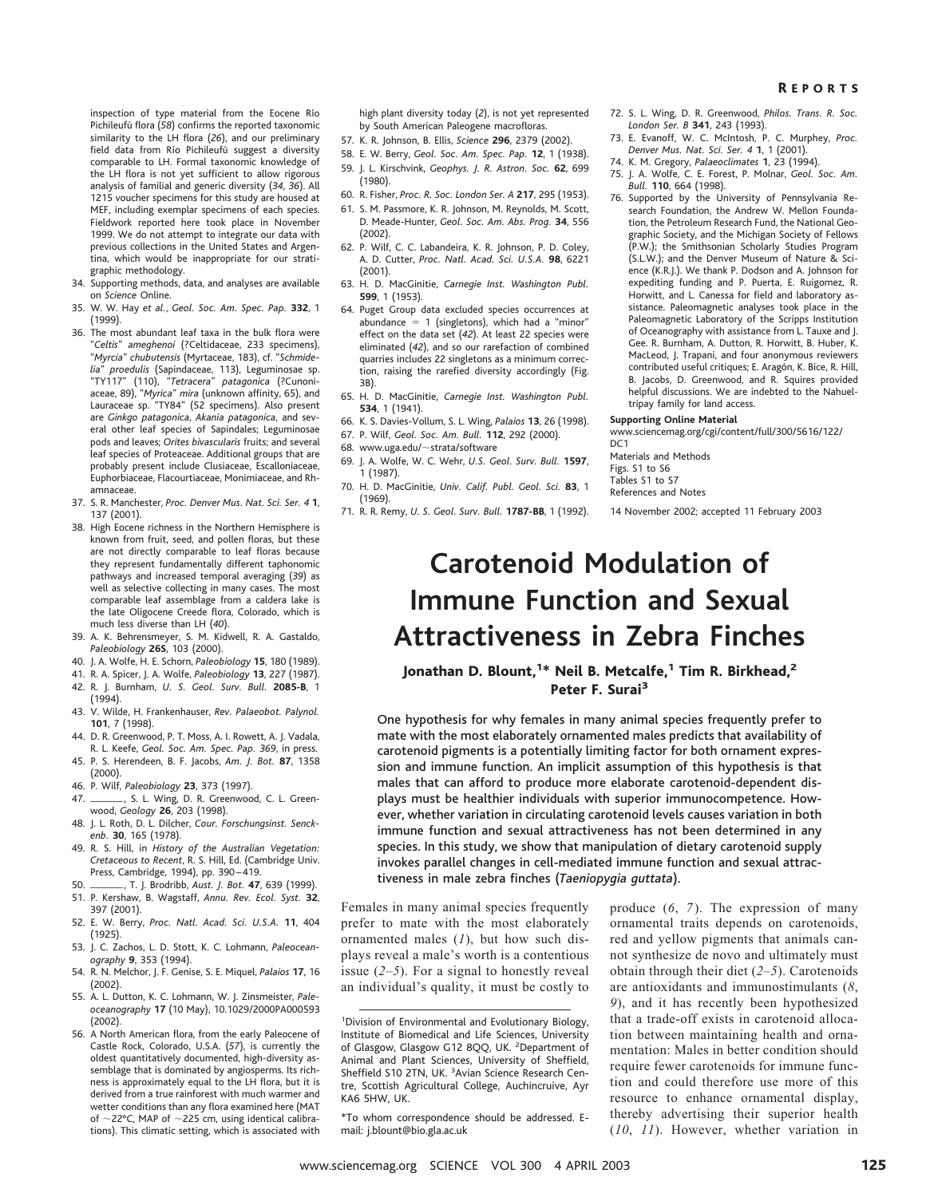inspection of type material from the Eocene Río Pichileufú flora (58) confirms the reported taxonomic similarity to the LH flora (*26*), and our preliminary field data from Río Pichileufú suggest a diversity comparable to LH. Formal taxonomic knowledge of the LH flora is not yet sufficient to allow rigorous analysis of familial and generic diversity (*34*, *36*). All 1215 voucher specimens for this study are housed at MEF, including exemplar specimens of each species. Fieldwork reported here took place in November 1999. We do not attempt to integrate our data with previous collections in the United States and Argentina, which would be inappropriate for our stratigraphic methodology.

- 34. Supporting methods, data, and analyses are available on *Science* Online.
- 35. W. W. Hay *et al.*, *Geol.Soc.Am.Spec.Pap.* **332**, 1 (1999).
- 36. The most abundant leaf taxa in the bulk flora were "*Celtis*" *ameghenoi* (?Celtidaceae, 233 specimens), "*Myrcia*" *chubutensis* (Myrtaceae, 183), cf. "*Schmidelia*" *proedulis* (Sapindaceae, 113), Leguminosae sp. "TY117" (110), "*Tetracera*" *patagonica* (?Cunoniaceae, 89), "*Myrica*" *mira* (unknown affinity, 65), and Lauraceae sp. "TY84" (52 specimens). Also present are *Ginkgo patagonica*, *Akania patagonica*, and several other leaf species of Sapindales; Leguminosae pods and leaves; *Orites bivascularis* fruits; and several leaf species of Proteaceae. Additional groups that are probably present include Clusiaceae, Escalloniaceae, Euphorbiaceae, Flacourtiaceae, Monimiaceae, and Rhamnaceae.
- 37. S. R. Manchester, *Proc.Denver Mus.Nat.Sci.Ser.4* **1**, 137 (2001).
- 38. High Eocene richness in the Northern Hemisphere is known from fruit, seed, and pollen floras, but these are not directly comparable to leaf floras because they represent fundamentally different taphonomic pathways and increased temporal averaging (*39*) as well as selective collecting in many cases. The most comparable leaf assemblage from a caldera lake is the late Oligocene Creede flora, Colorado, which is much less diverse than LH (*40*).
- 39. A. K. Behrensmeyer, S. M. Kidwell, R. A. Gastaldo, *Paleobiology* **26S**, 103 (2000).
- 40. J. A. Wolfe, H. E. Schorn, *Paleobiology* **15**, 180 (1989).
- 41. R. A. Spicer, J. A. Wolfe, *Paleobiology* **13**, 227 (1987).
- 42. R. J. Burnham, *U.S.Geol.Surv.Bull.* **2085-B**, 1
- (1994).
- 43. V. Wilde, H. Frankenhauser, *Rev.Palaeobot.Palynol.* **101**, 7 (1998).
- 44. D. R. Greenwood, P. T. Moss, A. I. Rowett, A. J. Vadala, R. L. Keefe, *Geol.Soc.Am.Spec.Pap.369*, in press.
- 45. P. S. Herendeen, B. F. Jacobs, *Am.J.Bot.* **87**, 1358 (2000).
- 46. P. Wilf, *Paleobiology* **23**, 373 (1997).
- 47. \_\_\_\_\_\_\_, S. L. Wing, D. R. Greenwood, C. L. Greenwood, *Geology* **26**, 203 (1998).
- 48. J. L. Roth, D. L. Dilcher, Cour. Forschungsinst. Senck*enb.* **30**, 165 (1978).
- 49. R. S. Hill, in *History of the Australian Vegetation: Cretaceous to Recent*, R. S. Hill, Ed. (Cambridge Univ. Press, Cambridge, 1994), pp. 390 – 419.
- 50. , T. J. Brodribb, *Aust.J.Bot.* **<sup>47</sup>**, 639 (1999).
- 51. P. Kershaw, B. Wagstaff, *Annu.Rev.Ecol.Syst.* **32**, 397 (2001).
- 52. E. W. Berry, *Proc.Natl.Acad.Sci.U.S.A.* **11**, 404 (1925).
- 53. J. C. Zachos, L. D. Stott, K. C. Lohmann, *Paleoceanography* **9**, 353 (1994).
- 54. R. N. Melchor, J. F. Genise, S. E. Miquel, *Palaios* **17**, 16 (2002).
- 55. A. L. Dutton, K. C. Lohmann, W. J. Zinsmeister, *Paleoceanography* **17** (10 May), 10.1029/2000PA000593 (2002).
- 56. A North American flora, from the early Paleocene of Castle Rock, Colorado, U.S.A. (*57*), is currently the oldest quantitatively documented, high-diversity assemblage that is dominated by angiosperms. Its richness is approximately equal to the LH flora, but it is derived from a true rainforest with much warmer and wetter conditions than any flora examined here (MAT of  $\sim$ 22°C, MAP of  $\sim$ 225 cm, using identical calibrations). This climatic setting, which is associated with

high plant diversity today (*2*), is not yet represented by South American Paleogene macrofloras.

- 57. K. R. Johnson, B. Ellis, *Science* **296**, 2379 (2002).
- 58. E. W. Berry, *Geol.Soc.Am.Spec.Pap.* **12**, 1 (1938).
- 59. J. L. Kirschvink, *Geophys.J.R.Astron.Soc.* **62**, 699 (1980).
- 60. R. Fisher, *Proc.R.Soc.London Ser.A* **217**, 295 (1953).
- 61. S. M. Passmore, K. R. Johnson, M. Reynolds, M. Scott, D. Meade-Hunter, *Geol.Soc.Am.Abs.Prog.* **34**, 556  $(2002)$
- 62. P. Wilf, C. C. Labandeira, K. R. Johnson, P. D. Coley, A. D. Cutter, *Proc.Natl.Acad.Sci.U.S.A.* **98**, 6221 (2001).
- 63. H. D. MacGinitie, *Carnegie Inst.Washington Publ.* **599**, 1 (1953).
- 64. Puget Group data excluded species occurrences at abundance  $= 1$  (singletons), which had a "minor" effect on the data set (*42*). At least 22 species were eliminated (*42*), and so our rarefaction of combined quarries includes 22 singletons as a minimum correction, raising the rarefied diversity accordingly (Fig. 3B).
- 65. H. D. MacGinitie, *Carnegie Inst.Washington Publ.* **534**, 1 (1941).
- 66. K. S. Davies-Vollum, S. L. Wing, *Palaios* **13**, 26 (1998).
- 67. P. Wilf, *Geol.Soc.Am.Bull.* **112**, 292 (2000).
- 68. www.uga.edu/ $\sim$ strata/software
- 69. J. A. Wolfe, W. C. Wehr, *U.S.Geol.Surv.Bull.* **1597**, 1 (1987).
- 70. H. D. MacGinitie, *Univ.Calif.Publ.Geol.Sci.* **83**, 1 (1969).
- 71. R. R. Remy, *U.S.Geol.Surv.Bull.* **1787-BB**, 1 (1992).
- 72. S. L. Wing, D. R. Greenwood, *Philos. Trans. R. Soc. London Ser.B* **341**, 243 (1993).
- 73. E. Evanoff, W. C. McIntosh, P. C. Murphey, *Proc. Denver Mus.Nat.Sci.Ser.4* **1**, 1 (2001).
- 74. K. M. Gregory, *Palaeoclimates* **1**, 23 (1994).
- J. A. Wolfe, C. E. Forest, P. Molnar, *Geol. Soc. Am. Bull.* **110**, 664 (1998).
- 76. Supported by the University of Pennsylvania Research Foundation, the Andrew W. Mellon Foundation, the Petroleum Research Fund, the National Geographic Society, and the Michigan Society of Fellows (P.W.); the Smithsonian Scholarly Studies Program (S.L.W.); and the Denver Museum of Nature & Science (K.R.J.). We thank P. Dodson and A. Johnson for expediting funding and P. Puerta, E. Ruigomez, R. Horwitt, and L. Canessa for field and laboratory assistance. Paleomagnetic analyses took place in the Paleomagnetic Laboratory of the Scripps Institution of Oceanography with assistance from L. Tauxe and J. Gee. R. Burnham, A. Dutton, R. Horwitt, B. Huber, K. MacLeod, J. Trapani, and four anonymous reviewers contributed useful critiques; E. Aragón, K. Bice, R. Hill, B. Jacobs, D. Greenwood, and R. Squires provided helpful discussions. We are indebted to the Nahueltripay family for land access.

#### **Supporting Online Material**

www.sciencemag.org/cgi/content/full/300/5616/122/ DC<sub>1</sub>

Materials and Methods Figs. S1 to S6 Tables S1 to S7 References and Notes

14 November 2002; accepted 11 February 2003

## **Carotenoid Modulation of Immune Function and Sexual Attractiveness in Zebra Finches**

Jonathan D. Blount,<sup>1\*</sup> Neil B. Metcalfe,<sup>1</sup> Tim R. Birkhead,<sup>2</sup> Peter F. Surai<sup>3</sup>

One hypothesis for why females in many animal species frequently prefer to mate with the most elaborately ornamented males predicts that availability of carotenoid pigments is a potentially limiting factor for both ornament expression and immune function. An implicit assumption of this hypothesis is that males that can afford to produce more elaborate carotenoid-dependent displays must be healthier individuals with superior immunocompetence. However, whether variation in circulating carotenoid levels causes variation in both immune function and sexual attractiveness has not been determined in any species. In this study, we show that manipulation of dietary carotenoid supply invokes parallel changes in cell-mediated immune function and sexual attractiveness in male zebra finches (*Taeniopygia guttata*).

Females in many animal species frequently prefer to mate with the most elaborately ornamented males (*1*), but how such displays reveal a male's worth is a contentious issue (*2–5*). For a signal to honestly reveal an individual's quality, it must be costly to

\*To whom correspondence should be addressed. Email: j.blount@bio.gla.ac.uk

produce (*6*, *7*). The expression of many ornamental traits depends on carotenoids, red and yellow pigments that animals cannot synthesize de novo and ultimately must obtain through their diet (*2–5*). Carotenoids are antioxidants and immunostimulants (*8*, *9*), and it has recently been hypothesized that a trade-off exists in carotenoid allocation between maintaining health and ornamentation: Males in better condition should require fewer carotenoids for immune function and could therefore use more of this resource to enhance ornamental display, thereby advertising their superior health (*10*, *11*). However, whether variation in

<sup>1</sup> Division of Environmental and Evolutionary Biology, Institute of Biomedical and Life Sciences, University of Glasgow, Glasgow G12 8QQ, UK. <sup>2</sup>Department of Animal and Plant Sciences, University of Sheffield, Sheffield S10 2TN, UK. <sup>3</sup> Avian Science Research Centre, Scottish Agricultural College, Auchincruive, Ayr KA6 5HW, UK.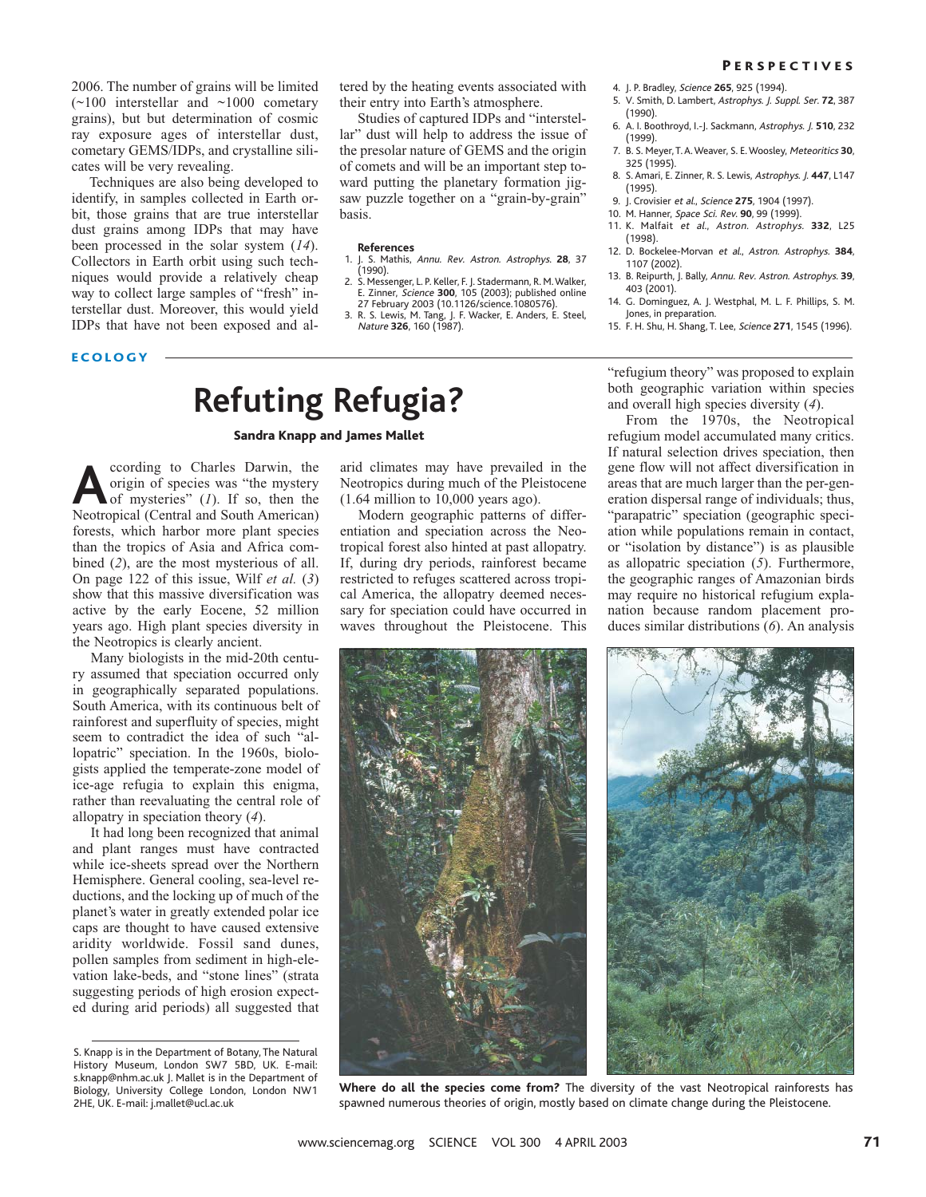2006. The number of grains will be limited  $(\sim 100$  interstellar and  $\sim 1000$  cometary grains), but but determination of cosmic ray exposure ages of interstellar dust, cometary GEMS/IDPs, and crystalline silicates will be very revealing.

Techniques are also being developed to identify, in samples collected in Earth orbit, those grains that are true interstellar dust grains among IDPs that may have been processed in the solar system (*14*). Collectors in Earth orbit using such techniques would provide a relatively cheap way to collect large samples of "fresh" interstellar dust. Moreover, this would yield IDPs that have not been exposed and altered by the heating events associated with their entry into Earth's atmosphere.

Studies of captured IDPs and "interstellar" dust will help to address the issue of the presolar nature of GEMS and the origin of comets and will be an important step toward putting the planetary formation jigsaw puzzle together on a "grain-by-grain" basis.

#### **References**

- 1. J. S. Mathis, Annu. Rev. Astron. Astrophys. **28**, 37 (1990).
- 2. S. Messenger, L. P. Keller, F. J. Stadermann, R. M.Walker, E. Zinner, Science **300**, 105 (2003); published online 27 February 2003 (10.1126/science.1080576).
- 3. R. S. Lewis, M. Tang, J. F. Wacker, E. Anders, E. Steel, Nature **326**, 160 (1987).

4. J. P. Bradley, Science **265**, 925 (1994).

- 5. V. Smith, D. Lambert, Astrophys. J. Suppl. Ser. **72**, 387 (1990).
- 6. A. I. Boothroyd, I.-J. Sackmann, Astrophys. J. **510**, 232 (1999).
- 7. B. S. Meyer, T. A. Weaver, S. E. Woosley, Meteoritics **30**, 325 (1995).
- 8. S. Amari, E. Zinner, R. S. Lewis, Astrophys. J. **447**, L147 (1995).
- 9. J. Crovisier et al., Science **275**, 1904 (1997).
- 10. M. Hanner, Space Sci. Rev. **90**, 99 (1999).
- 11. K. Malfait et al., Astron. Astrophys. **332**, L25 (1998).
- 12. D. Bockelee-Morvan et al., Astron. Astrophys. **384**, 1107 (2002).
- 13. B. Reipurth, J. Bally, Annu. Rev. Astron. Astrophys. **39**, 403 (2001).
- 14. G. Dominguez, A. J. Westphal, M. L. F. Phillips, S. M. Jones, in preparation.
- 15. F. H. Shu, H. Shang, T. Lee, Science **271**, 1545 (1996).

#### ECOLOGY

# **Refuting Refugia?**

Sandra Knapp and James Mallet

**According to Charles Darwin, the origin of species was "the mystery of mysteries" (***1***). If so, then the Neotronical (Central and South American)** origin of species was "the mystery Neotropical (Central and South American) forests, which harbor more plant species than the tropics of Asia and Africa combined (*2*), are the most mysterious of all. On page 122 of this issue, Wilf *et al.* (*3*) show that this massive diversification was active by the early Eocene, 52 million years ago. High plant species diversity in the Neotropics is clearly ancient.

Many biologists in the mid-20th century assumed that speciation occurred only in geographically separated populations. South America, with its continuous belt of rainforest and superfluity of species, might seem to contradict the idea of such "allopatric" speciation. In the 1960s, biologists applied the temperate-zone model of ice-age refugia to explain this enigma, rather than reevaluating the central role of allopatry in speciation theory (*4*).

It had long been recognized that animal and plant ranges must have contracted while ice-sheets spread over the Northern Hemisphere. General cooling, sea-level reductions, and the locking up of much of the planet's water in greatly extended polar ice caps are thought to have caused extensive aridity worldwide. Fossil sand dunes, pollen samples from sediment in high-elevation lake-beds, and "stone lines" (strata suggesting periods of high erosion expected during arid periods) all suggested that

arid climates may have prevailed in the Neotropics during much of the Pleistocene (1.64 million to 10,000 years ago).

Modern geographic patterns of differentiation and speciation across the Neotropical forest also hinted at past allopatry. If, during dry periods, rainforest became restricted to refuges scattered across tropical America, the allopatry deemed necessary for speciation could have occurred in waves throughout the Pleistocene. This



"refugium theory" was proposed to explain both geographic variation within species and overall high species diversity (*4*). From the 1970s, the Neotropical

refugium model accumulated many critics. If natural selection drives speciation, then gene flow will not affect diversification in areas that are much larger than the per-generation dispersal range of individuals; thus, "parapatric" speciation (geographic speciation while populations remain in contact, or "isolation by distance") is as plausible as allopatric speciation (*5*). Furthermore, the geographic ranges of Amazonian birds may require no historical refugium explanation because random placement produces similar distributions (*6*). An analysis



**Where do all the species come from?** The diversity of the vast Neotropical rainforests has spawned numerous theories of origin, mostly based on climate change during the Pleistocene.

S. Knapp is in the Department of Botany, The Natural History Museum, London SW7 5BD, UK. E-mail: s.knapp@nhm.ac.uk J. Mallet is in the Department of Biology, University College London, London NW1 2HE, UK. E-mail: j.mallet@ucl.ac.uk